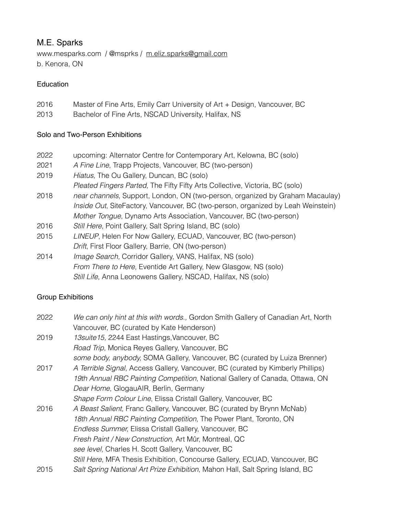## M.E. Sparks

www.mesparks.com / @msprks / [m.eliz.sparks@gmail.com](mailto:m.eliz.sparks@gmail.com) b. Kenora, ON

### Education

- 2016 Master of Fine Arts, Emily Carr University of Art + Design, Vancouver, BC
- 2013 Bachelor of Fine Arts, NSCAD University, Halifax, NS

### Solo and Two-Person Exhibitions

- 2022 upcoming: Alternator Centre for Contemporary Art, Kelowna, BC (solo)
- 2021 *A Fine Line*, Trapp Projects, Vancouver, BC (two-person)
- 2019 *Hiatus,* The Ou Gallery, Duncan, BC (solo)
- *Pleated Fingers Parted,* The Fifty Fifty Arts Collective, Victoria, BC (solo)
- 2018 *near channels,* Support, London, ON (two-person, organized by Graham Macaulay) *Inside Out*, SiteFactory, Vancouver, BC (two-person, organized by Leah Weinstein) *Mother Tongue*, Dynamo Arts Association, Vancouver, BC (two-person)
- 2016 *Still Here*, Point Gallery, Salt Spring Island, BC (solo)
- 2015 *LINEUP*, Helen For Now Gallery, ECUAD, Vancouver, BC (two-person) *Drift*, First Floor Gallery, Barrie, ON (two-person)
- 2014 *Image Search,* Corridor Gallery, VANS, Halifax, NS (solo) *From There to Here*, Eventide Art Gallery, New Glasgow, NS (solo) *Still Life*, Anna Leonowens Gallery, NSCAD, Halifax, NS (solo)

### Group Exhibitions

| 2022 | We can only hint at this with words., Gordon Smith Gallery of Canadian Art, North |
|------|-----------------------------------------------------------------------------------|
|      | Vancouver, BC (curated by Kate Henderson)                                         |
| 2019 | 13 suite 15, 2244 East Hastings, Vancouver, BC                                    |
|      | Road Trip, Monica Reyes Gallery, Vancouver, BC                                    |
|      | some body, anybody, SOMA Gallery, Vancouver, BC (curated by Luiza Brenner)        |
| 2017 | A Terrible Signal, Access Gallery, Vancouver, BC (curated by Kimberly Phillips)   |
|      | 19th Annual RBC Painting Competition, National Gallery of Canada, Ottawa, ON      |
|      | Dear Home, GlogauAIR, Berlin, Germany                                             |
|      | Shape Form Colour Line, Elissa Cristall Gallery, Vancouver, BC                    |
| 2016 | A Beast Salient, Franc Gallery, Vancouver, BC (curated by Brynn McNab)            |
|      | 18th Annual RBC Painting Competition, The Power Plant, Toronto, ON                |
|      | Endless Summer, Elissa Cristall Gallery, Vancouver, BC                            |
|      | Fresh Paint / New Construction, Art Mûr, Montreal, QC                             |
|      | see level, Charles H. Scott Gallery, Vancouver, BC                                |
|      | Still Here, MFA Thesis Exhibition, Concourse Gallery, ECUAD, Vancouver, BC        |
| 2015 | Salt Spring National Art Prize Exhibition, Mahon Hall, Salt Spring Island, BC     |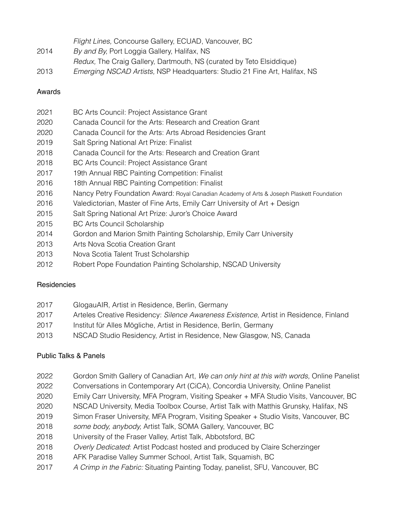|  |  |  |  | Flight Lines, Concourse Gallery, ECUAD, Vancouver, BC |  |
|--|--|--|--|-------------------------------------------------------|--|
|--|--|--|--|-------------------------------------------------------|--|

- *By and By,* Port Loggia Gallery, Halifax, NS
- *Redux,* The Craig Gallery, Dartmouth, NS (curated by Teto Elsiddique)
- *Emerging NSCAD Artists,* NSP Headquarters: Studio 21 Fine Art, Halifax, NS

## Awards

- BC Arts Council: Project Assistance Grant
- Canada Council for the Arts: Research and Creation Grant
- Canada Council for the Arts: Arts Abroad Residencies Grant
- Salt Spring National Art Prize: Finalist
- Canada Council for the Arts: Research and Creation Grant
- BC Arts Council: Project Assistance Grant
- 19th Annual RBC Painting Competition: Finalist
- 18th Annual RBC Painting Competition: Finalist
- Nancy Petry Foundation Award: Royal Canadian Academy of Arts & Joseph Plaskett Foundation
- Valedictorian, Master of Fine Arts, Emily Carr University of Art + Design
- 2015 Salt Spring National Art Prize: Juror's Choice Award
- 2015 BC Arts Council Scholarship
- 2014 Gordon and Marion Smith Painting Scholarship, Emily Carr University
- Arts Nova Scotia Creation Grant
- 2013 Nova Scotia Talent Trust Scholarship
- 2012 Robert Pope Foundation Painting Scholarship, NSCAD University

# **Residencies**

- 2017 GlogauAIR, Artist in Residence, Berlin, Germany
- Arteles Creative Residency: *Silence Awareness Existence*, Artist in Residence, Finland
- Institut für Alles Mögliche, Artist in Residence, Berlin, Germany
- NSCAD Studio Residency, Artist in Residence, New Glasgow, NS, Canada

# Public Talks & Panels

- Gordon Smith Gallery of Canadian Art, *We can only hint at this with words,* Online Panelist
- Conversations in Contemporary Art (CiCA), Concordia University, Online Panelist
- Emily Carr University, MFA Program, Visiting Speaker + MFA Studio Visits, Vancouver, BC
- NSCAD University, Media Toolbox Course, Artist Talk with Matthis Grunsky, Halifax, NS
- Simon Fraser University, MFA Program, Visiting Speaker + Studio Visits, Vancouver, BC
- *some body, anybody,* Artist Talk, SOMA Gallery, Vancouver, BC
- University of the Fraser Valley, Artist Talk, Abbotsford, BC
- *Overly Dedicated*: Artist Podcast hosted and produced by Claire Scherzinger
- AFK Paradise Valley Summer School, Artist Talk, Squamish, BC
- *A Crimp in the Fabric:* Situating Painting Today, panelist, SFU, Vancouver, BC